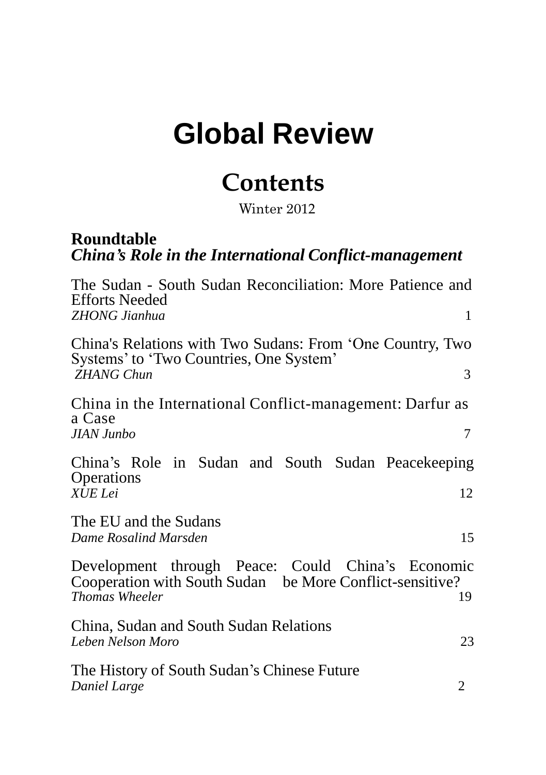# **Global Review**

# **Contents**

Winter 2012

# **Roundtable** *China's Role in the International Conflict-management*

| The Sudan - South Sudan Reconciliation: More Patience and<br><b>Efforts Needed</b>                            |    |
|---------------------------------------------------------------------------------------------------------------|----|
| <b>ZHONG Jianhua</b>                                                                                          | 1  |
| China's Relations with Two Sudans: From 'One Country, Two<br>Systems' to 'Two Countries, One System'          |    |
| <b>ZHANG Chun</b>                                                                                             | 3  |
| China in the International Conflict-management: Darfur as                                                     |    |
| a Case<br><b>JIAN Junbo</b>                                                                                   | 7  |
| China's Role in Sudan and South Sudan Peacekeeping<br>Operations                                              |    |
| XUE Lei                                                                                                       | 12 |
| The EU and the Sudans                                                                                         |    |
| Dame Rosalind Marsden                                                                                         | 15 |
| Development through Peace: Could China's Economic<br>Cooperation with South Sudan be More Conflict-sensitive? |    |
| <b>Thomas Wheeler</b>                                                                                         | 19 |
| China, Sudan and South Sudan Relations                                                                        |    |
| Leben Nelson Moro                                                                                             | 23 |
| The History of South Sudan's Chinese Future<br>Daniel Large                                                   | 2  |
|                                                                                                               |    |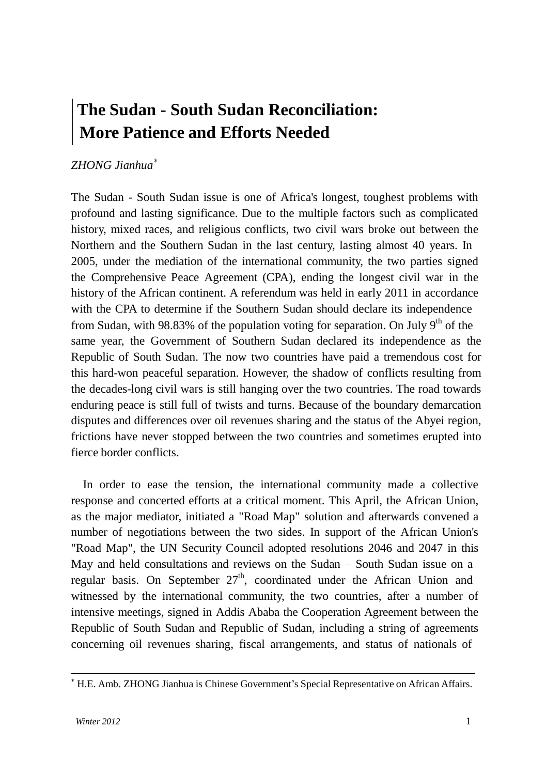# **The Sudan - South Sudan Reconciliation: More Patience and Efforts Needed**

### *ZHONG Jianhua* ∗

The Sudan - South Sudan issue is one of Africa's longest, toughest problems with profound and lasting significance. Due to the multiple factors such as complicated history, mixed races, and religious conflicts, two civil wars broke out between the Northern and the Southern Sudan in the last century, lasting almost 40 years. In 2005, under the mediation of the international community, the two parties signed the Comprehensive Peace Agreement (CPA), ending the longest civil war in the history of the African continent. A referendum was held in early 2011 in accordance with the CPA to determine if the Southern Sudan should declare its independence from Sudan, with 98.83% of the population voting for separation. On July 9<sup>th</sup> of the same year, the Government of Southern Sudan declared its independence as the Republic of South Sudan. The now two countries have paid a tremendous cost for this hard-won peaceful separation. However, the shadow of conflicts resulting from the decades-long civil wars is still hanging over the two countries. The road towards enduring peace is still full of twists and turns. Because of the boundary demarcation disputes and differences over oil revenues sharing and the status of the Abyei region, frictions have never stopped between the two countries and sometimes erupted into fierce border conflicts.

In order to ease the tension, the international community made a collective response and concerted efforts at a critical moment. This April, the African Union, as the major mediator, initiated a "Road Map" solution and afterwards convened a number of negotiations between the two sides. In support of the African Union's "Road Map", the UN Security Council adopted resolutions 2046 and 2047 in this May and held consultations and reviews on the Sudan – South Sudan issue on a regular basis. On September 27<sup>th</sup>, coordinated under the African Union and witnessed by the international community, the two countries, after a number of intensive meetings, signed in Addis Ababa the Cooperation Agreement between the Republic of South Sudan and Republic of Sudan, including a string of agreements concerning oil revenues sharing, fiscal arrangements, and status of nationals of

<sup>∗</sup> H.E. Amb. ZHONG Jianhua is Chinese Government"s Special Representative on African Affairs.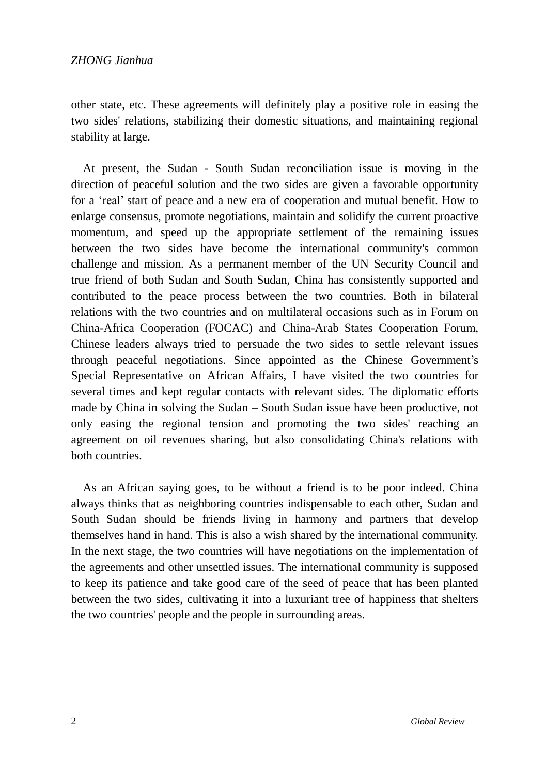other state, etc. These agreements will definitely play a positive role in easing the two sides' relations, stabilizing their domestic situations, and maintaining regional stability at large.

At present, the Sudan - South Sudan reconciliation issue is moving in the direction of peaceful solution and the two sides are given a favorable opportunity for a "real" start of peace and a new era of cooperation and mutual benefit. How to enlarge consensus, promote negotiations, maintain and solidify the current proactive momentum, and speed up the appropriate settlement of the remaining issues between the two sides have become the international community's common challenge and mission. As a permanent member of the UN Security Council and true friend of both Sudan and South Sudan, China has consistently supported and contributed to the peace process between the two countries. Both in bilateral relations with the two countries and on multilateral occasions such as in Forum on China-Africa Cooperation (FOCAC) and China-Arab States Cooperation Forum, Chinese leaders always tried to persuade the two sides to settle relevant issues through peaceful negotiations. Since appointed as the Chinese Government"s Special Representative on African Affairs, I have visited the two countries for several times and kept regular contacts with relevant sides. The diplomatic efforts made by China in solving the Sudan – South Sudan issue have been productive, not only easing the regional tension and promoting the two sides' reaching an agreement on oil revenues sharing, but also consolidating China's relations with both countries.

As an African saying goes, to be without a friend is to be poor indeed. China always thinks that as neighboring countries indispensable to each other, Sudan and South Sudan should be friends living in harmony and partners that develop themselves hand in hand. This is also a wish shared by the international community. In the next stage, the two countries will have negotiations on the implementation of the agreements and other unsettled issues. The international community is supposed to keep its patience and take good care of the seed of peace that has been planted between the two sides, cultivating it into a luxuriant tree of happiness that shelters the two countries' people and the people in surrounding areas.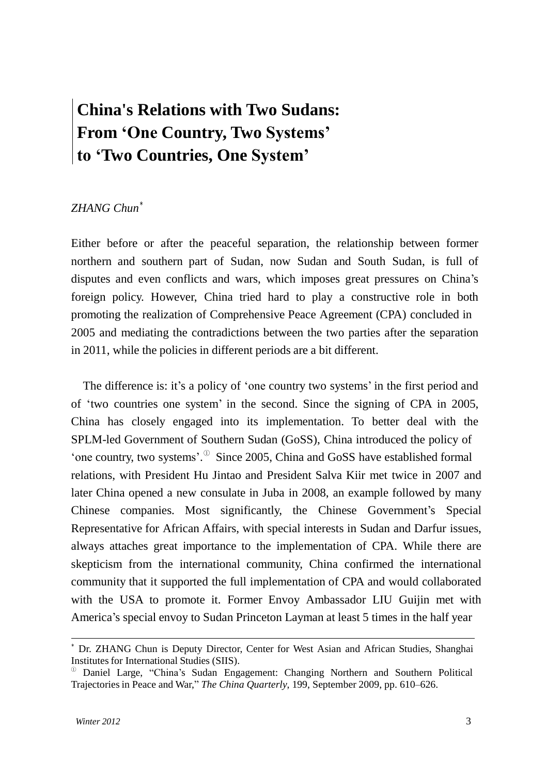# **China's Relations with Two Sudans: From 'One Country, Two Systems' to 'Two Countries, One System'**

#### *ZHANG Chun* ∗

Either before or after the peaceful separation, the relationship between former northern and southern part of Sudan, now Sudan and South Sudan, is full of disputes and even conflicts and wars, which imposes great pressures on China"s foreign policy. However, China tried hard to play a constructive role in both promoting the realization of Comprehensive Peace Agreement (CPA) concluded in 2005 and mediating the contradictions between the two parties after the separation in 2011, while the policies in different periods are a bit different.

The difference is: it's a policy of 'one country two systems' in the first period and of "two countries one system" in the second. Since the signing of CPA in 2005, China has closely engaged into its implementation. To better deal with the SPLM-led Government of Southern Sudan (GoSS), China introduced the policy of 'one country, two systems'. $\degree$  Since 2005, China and GoSS have established formal relations, with President Hu Jintao and President Salva Kiir met twice in 2007 and later China opened a new consulate in Juba in 2008, an example followed by many Chinese companies. Most significantly, the Chinese Government"s Special Representative for African Affairs, with special interests in Sudan and Darfur issues, always attaches great importance to the implementation of CPA. While there are skepticism from the international community, China confirmed the international community that it supported the full implementation of CPA and would collaborated with the USA to promote it. Former Envoy Ambassador LIU Guijin met with America"s special envoy to Sudan Princeton Layman at least 5 times in the half year

<sup>∗</sup> Dr. ZHANG Chun is Deputy Director, Center for West Asian and African Studies, Shanghai Institutes for International Studies (SIIS).

 $\textcircled{b}$  Daniel Large, "China's Sudan Engagement: Changing Northern and Southern Political Trajectories in Peace and War," *The China Quarterly*, 199, September 2009, pp. 610–626.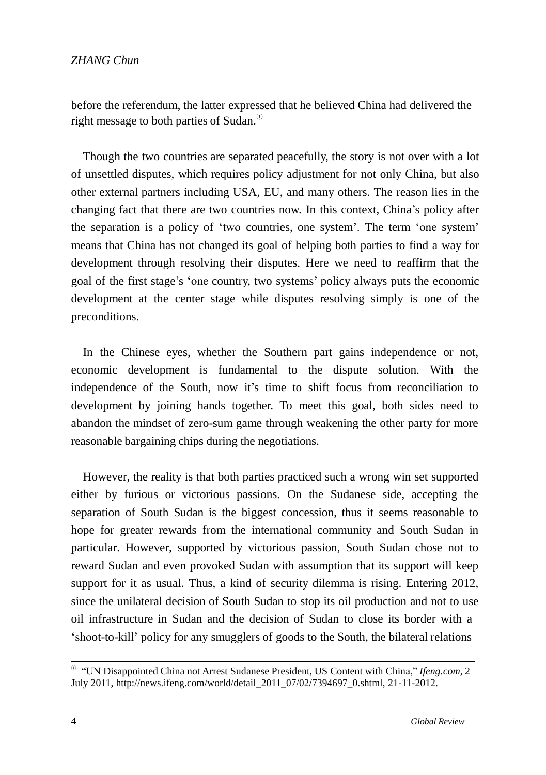before the referendum, the latter expressed that he believed China had delivered the right message to both parties of Sudan. $^\circ$ 

Though the two countries are separated peacefully, the story is not over with a lot of unsettled disputes, which requires policy adjustment for not only China, but also other external partners including USA, EU, and many others. The reason lies in the changing fact that there are two countries now. In this context, China"s policy after the separation is a policy of 'two countries, one system'. The term 'one system' means that China has not changed its goal of helping both parties to find a way for development through resolving their disputes. Here we need to reaffirm that the goal of the first stage"s "one country, two systems" policy always puts the economic development at the center stage while disputes resolving simply is one of the preconditions.

In the Chinese eyes, whether the Southern part gains independence or not, economic development is fundamental to the dispute solution. With the independence of the South, now it"s time to shift focus from reconciliation to development by joining hands together. To meet this goal, both sides need to abandon the mindset of zero-sum game through weakening the other party for more reasonable bargaining chips during the negotiations.

However, the reality is that both parties practiced such a wrong win set supported either by furious or victorious passions. On the Sudanese side, accepting the separation of South Sudan is the biggest concession, thus it seems reasonable to hope for greater rewards from the international community and South Sudan in particular. However, supported by victorious passion, South Sudan chose not to reward Sudan and even provoked Sudan with assumption that its support will keep support for it as usual. Thus, a kind of security dilemma is rising. Entering 2012, since the unilateral decision of South Sudan to stop its oil production and not to use oil infrastructure in Sudan and the decision of Sudan to close its border with a "shoot-to-kill" policy for any smugglers of goods to the South, the bilateral relations

<sup>①</sup>"UN Disappointed China not Arrest Sudanese President, US Content with China," *Ifeng.com*, 2 July 2011, [http://news.ifeng.com/world/detail\\_2011\\_07/02/7394697\\_0.shtml,](http://news.ifeng.com/world/detail_2011_07/02/7394697_0.shtml) 21-11-2012.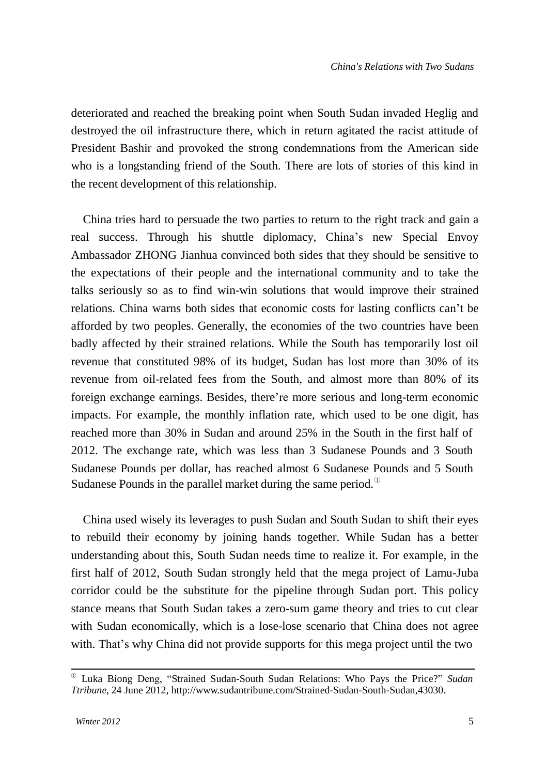deteriorated and reached the breaking point when South Sudan invaded Heglig and destroyed the oil infrastructure there, which in return agitated the racist attitude of President Bashir and provoked the strong condemnations from the American side who is a longstanding friend of the South. There are lots of stories of this kind in the recent development of this relationship.

China tries hard to persuade the two parties to return to the right track and gain a real success. Through his shuttle diplomacy, China"s new Special Envoy Ambassador ZHONG Jianhua convinced both sides that they should be sensitive to the expectations of their people and the international community and to take the talks seriously so as to find win-win solutions that would improve their strained relations. China warns both sides that economic costs for lasting conflicts can"t be afforded by two peoples. Generally, the economies of the two countries have been badly affected by their strained relations. While the South has temporarily lost oil revenue that constituted 98% of its budget, Sudan has lost more than 30% of its revenue from oil-related fees from the South, and almost more than 80% of its foreign exchange earnings. Besides, there"re more serious and long-term economic impacts. For example, the monthly inflation rate, which used to be one digit, has reached more than 30% in Sudan and around 25% in the South in the first half of 2012. The exchange rate, which was less than 3 Sudanese Pounds and 3 South Sudanese Pounds per dollar, has reached almost 6 Sudanese Pounds and 5 South Sudanese Pounds in the parallel market during the same period. $^{\circ}$ 

China used wisely its leverages to push Sudan and South Sudan to shift their eyes to rebuild their economy by joining hands together. While Sudan has a better understanding about this, South Sudan needs time to realize it. For example, in the first half of 2012, South Sudan strongly held that the mega project of Lamu-Juba corridor could be the substitute for the pipeline through Sudan port. This policy stance means that South Sudan takes a zero-sum game theory and tries to cut clear with Sudan economically, which is a lose-lose scenario that China does not agree with. That's why China did not provide supports for this mega project until the two

<sup>①</sup>Luka Biong Deng, "Strained Sudan-South Sudan Relations: Who Pays the Price?" *Sudan Ttribune*, 24 June 2012, [http://www.sudantribune.com/Strained-Sudan-South-Sudan,43030.](http://www.sudantribune.com/Strained-Sudan-South-Sudan%2C43030)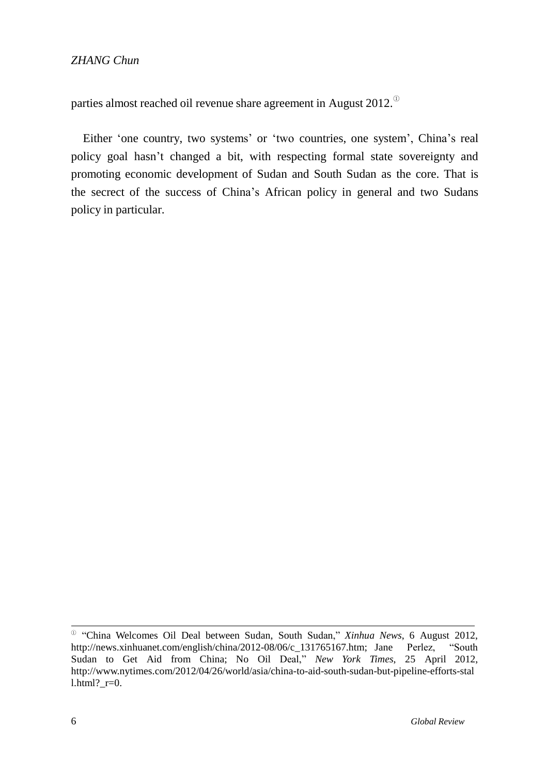parties almost reached oil revenue share agreement in August 2012. $^\circ$ 

Either 'one country, two systems' or 'two countries, one system', China's real policy goal hasn"t changed a bit, with respecting formal state sovereignty and promoting economic development of Sudan and South Sudan as the core. That is the secrect of the success of China"s African policy in general and two Sudans policy in particular.

① "China Welcomes Oil Deal between Sudan, South Sudan," *Xinhua News*, 6 August 2012, [http://news.xinhuanet.com/english/china/2012-08/06/c\\_131765167.htm;](http://news.xinhuanet.com/english/china/2012-08/06/c_131765167.htm%3B) Jane Perlez, "South Sudan to Get Aid from China; No Oil Deal," *New York Times*, 25 April 2012, <http://www.nytimes.com/2012/04/26/world/asia/china-to-aid-south-sudan-but-pipeline-efforts-stal> l.html?  $r=0$ .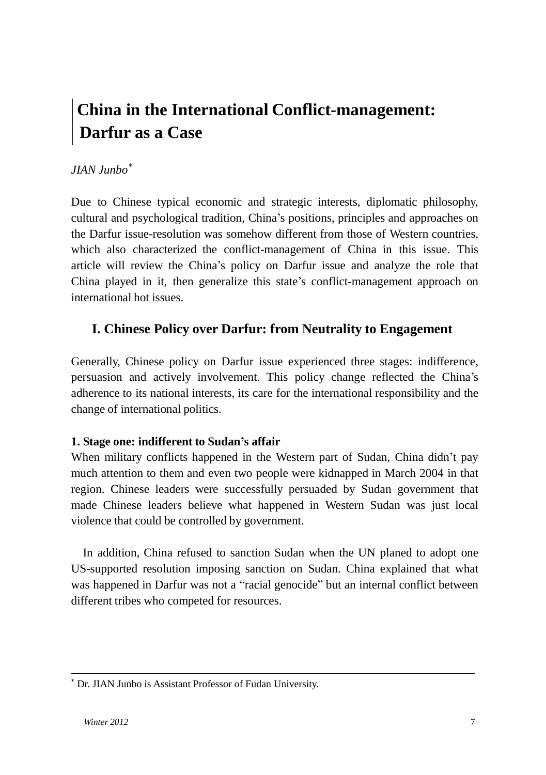# **China in the International Conflict-management: Darfur as a Case**

## *JIAN Junbo* ∗

Due to Chinese typical economic and strategic interests, diplomatic philosophy, cultural and psychological tradition, China"s positions, principles and approaches on the Darfur issue-resolution was somehow different from those of Western countries, which also characterized the conflict-management of China in this issue. This article will review the China"s policy on Darfur issue and analyze the role that China played in it, then generalize this state"s conflict-management approach on international hot issues.

### **I. Chinese Policy over Darfur: from Neutrality to Engagement**

Generally, Chinese policy on Darfur issue experienced three stages: indifference, persuasion and actively involvement. This policy change reflected the China"s adherence to its national interests, its care for the international responsibility and the change of international politics.

#### **1. Stage one: indifferent to Sudan's affair**

When military conflicts happened in the Western part of Sudan, China didn't pay much attention to them and even two people were kidnapped in March 2004 in that region. Chinese leaders were successfully persuaded by Sudan government that made Chinese leaders believe what happened in Western Sudan was just local violence that could be controlled by government.

In addition, China refused to sanction Sudan when the UN planed to adopt one US-supported resolution imposing sanction on Sudan. China explained that what was happened in Darfur was not a "racial genocide" but an internal conflict between different tribes who competed for resources.

<sup>∗</sup> Dr. JIAN Junbo is Assistant Professor of Fudan University.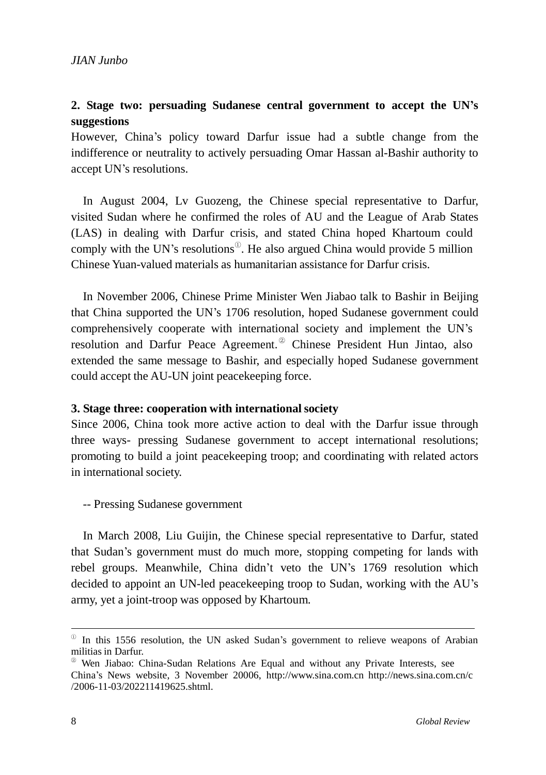### **2. Stage two: persuading Sudanese central government to accept the UN's suggestions**

However, China's policy toward Darfur issue had a subtle change from the indifference or neutrality to actively persuading Omar Hassan al-Bashir authority to accept UN"s resolutions.

In August 2004, Lv Guozeng, the Chinese special representative to Darfur, visited Sudan where he confirmed the roles of AU and the League of Arab States (LAS) in dealing with Darfur crisis, and stated China hoped Khartoum could comply with the UN's resolutions<sup> $\mathbb{O}$ </sup>. He also argued China would provide 5 million Chinese Yuan-valued materials as humanitarian assistance for Darfur crisis.

In November 2006, Chinese Prime Minister Wen Jiabao talk to Bashir in Beijing that China supported the UN"s 1706 resolution, hoped Sudanese government could comprehensively cooperate with international society and implement the UN"s resolution and Darfur Peace Agreement.<sup><sup>2</sup></sup> Chinese President Hun Jintao, also extended the same message to Bashir, and especially hoped Sudanese government could accept the AU-UN joint peacekeeping force.

#### **3. Stage three: cooperation with internationalsociety**

Since 2006, China took more active action to deal with the Darfur issue through three ways- pressing Sudanese government to accept international resolutions; promoting to build a joint peacekeeping troop; and coordinating with related actors in international society.

-- Pressing Sudanese government

In March 2008, Liu Guijin, the Chinese special representative to Darfur, stated that Sudan"s government must do much more, stopping competing for lands with rebel groups. Meanwhile, China didn"t veto the UN"s 1769 resolution which decided to appoint an UN-led peacekeeping troop to Sudan, working with the AU"s army, yet a joint-troop was opposed by Khartoum.

 $\degree$  In this 1556 resolution, the UN asked Sudan's government to relieve weapons of Arabian militias in Darfur.

<sup>②</sup>Wen Jiabao: China-Sudan Relations Are Equal and without any Private Interests, see China"s News website, 3 November 20006, [http://www.sina.com.cn](http://www.sina.com.cn/) [http://news.sina.com.cn/c](http://www.sina.com.cn/) /2006-11-03/202211419625.shtml.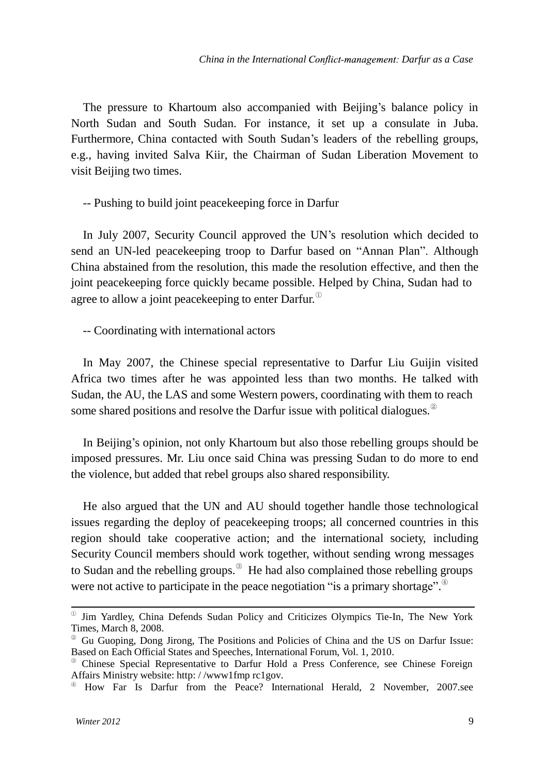The pressure to Khartoum also accompanied with Beijing's balance policy in North Sudan and South Sudan. For instance, it set up a consulate in Juba. Furthermore, China contacted with South Sudan"s leaders of the rebelling groups, e.g., having invited Salva Kiir, the Chairman of Sudan Liberation Movement to visit Beijing two times.

-- Pushing to build joint peacekeeping force in Darfur

In July 2007, Security Council approved the UN"s resolution which decided to send an UN-led peacekeeping troop to Darfur based on "Annan Plan". Although China abstained from the resolution, this made the resolution effective, and then the joint peacekeeping force quickly became possible. Helped by China, Sudan had to agree to allow a joint peacekeeping to enter Darfur.  $^{\mathbb{C}}$ 

-- Coordinating with international actors

In May 2007, the Chinese special representative to Darfur Liu Guijin visited Africa two times after he was appointed less than two months. He talked with Sudan, the AU, the LAS and some Western powers, coordinating with them to reach some shared positions and resolve the Darfur issue with political dialogues. $^{\circ}$ 

In Beijing"s opinion, not only Khartoum but also those rebelling groups should be imposed pressures. Mr. Liu once said China was pressing Sudan to do more to end the violence, but added that rebel groups also shared responsibility.

He also argued that the UN and AU should together handle those technological issues regarding the deploy of peacekeeping troops; all concerned countries in this region should take cooperative action; and the international society, including Security Council members should work together, without sending wrong messages to Sudan and the rebelling groups.<sup>3</sup> He had also complained those rebelling groups were not active to participate in the peace negotiation "is a primary shortage".

<sup>①</sup>Jim Yardley, China Defends Sudan Policy and Criticizes Olympics Tie-In, The New York Times, March 8, 2008.

<sup>&</sup>lt;sup>2</sup> Gu Guoping, Dong Jirong, The Positions and Policies of China and the US on Darfur Issue: Based on Each Official States and Speeches, International Forum, Vol. 1, 2010.

<sup>③</sup>Chinese Special Representative to Darfur Hold a Press Conference, see Chinese Foreign Affairs Ministry website: http: / /www1fmp rc1gov.

④ How Far Is Darfur from the Peace? International Herald, 2 November, 2007.see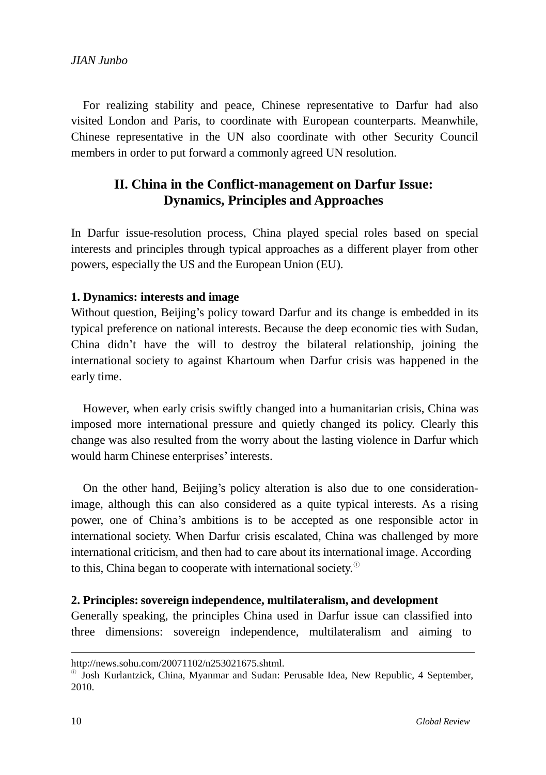For realizing stability and peace, Chinese representative to Darfur had also visited London and Paris, to coordinate with European counterparts. Meanwhile, Chinese representative in the UN also coordinate with other Security Council members in order to put forward a commonly agreed UN resolution.

### **II. China in the Conflict-management on Darfur Issue: Dynamics, Principles and Approaches**

In Darfur issue-resolution process, China played special roles based on special interests and principles through typical approaches as a different player from other powers, especially the US and the European Union (EU).

#### **1. Dynamics: interests and image**

Without question, Beijing's policy toward Darfur and its change is embedded in its typical preference on national interests. Because the deep economic ties with Sudan, China didn"t have the will to destroy the bilateral relationship, joining the international society to against Khartoum when Darfur crisis was happened in the early time.

However, when early crisis swiftly changed into a humanitarian crisis, China was imposed more international pressure and quietly changed its policy. Clearly this change was also resulted from the worry about the lasting violence in Darfur which would harm Chinese enterprises' interests.

On the other hand, Beijing"s policy alteration is also due to one considerationimage, although this can also considered as a quite typical interests. As a rising power, one of China"s ambitions is to be accepted as one responsible actor in international society. When Darfur crisis escalated, China was challenged by more international criticism, and then had to care about its international image. According to this, China began to cooperate with international society. $^{\mathbb{C}}$ 

#### **2. Principles: sovereign independence, multilateralism, and development**

Generally speaking, the principles China used in Darfur issue can classified into three dimensions: sovereign independence, multilateralism and aiming to

[http://news.sohu.com/20071102/n253021675.shtml.](http://news.sohu.com/20071102/n253021675.shtml)

 $\degree$  Josh Kurlantzick, China, Myanmar and Sudan: Perusable Idea, New Republic, 4 September, 2010.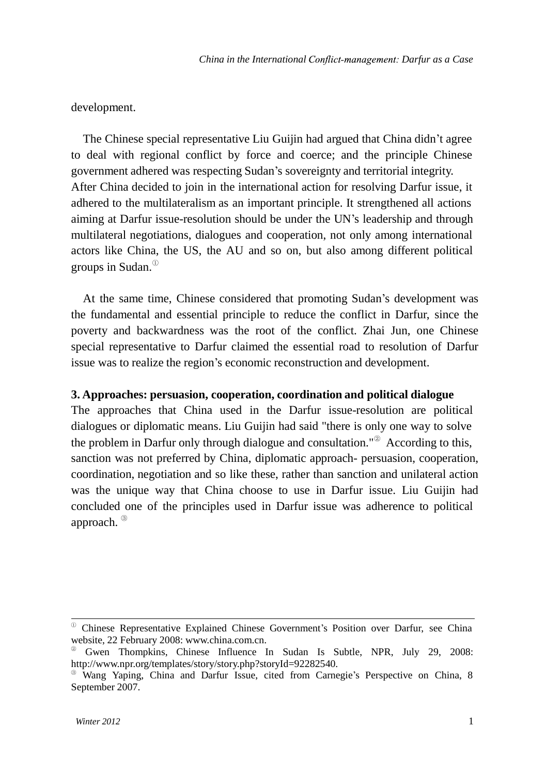#### development.

The Chinese special representative Liu Guijin had argued that China didn"t agree to deal with regional conflict by force and coerce; and the principle Chinese government adhered was respecting Sudan"s sovereignty and territorial integrity. After China decided to join in the international action for resolving Darfur issue, it adhered to the multilateralism as an important principle. It strengthened all actions aiming at Darfur issue-resolution should be under the UN"s leadership and through multilateral negotiations, dialogues and cooperation, not only among international actors like China, the US, the AU and so on, but also among different political groups in Sudan. ①

At the same time, Chinese considered that promoting Sudan"s development was the fundamental and essential principle to reduce the conflict in Darfur, since the poverty and backwardness was the root of the conflict. Zhai Jun, one Chinese special representative to Darfur claimed the essential road to resolution of Darfur issue was to realize the region"s economic reconstruction and development.

#### **3. Approaches: persuasion, cooperation, coordination and political dialogue**

The approaches that China used in the Darfur issue-resolution are political dialogues or diplomatic means. Liu Guijin had said "there is only one way to solve the problem in Darfur only through dialogue and consultation." <sup>②</sup> According to this, sanction was not preferred by China, diplomatic approach- persuasion, cooperation, coordination, negotiation and so like these, rather than sanction and unilateral action was the unique way that China choose to use in Darfur issue. Liu Guijin had concluded one of the principles used in Darfur issue was adherence to political approach. ③

<sup>&</sup>lt;sup>10</sup> Chinese Representative Explained Chinese Government's Position over Darfur, see China website, 22 February 2008: [www.china.com.cn.](http://www.china.com.cn/)

<sup>②</sup>Gwen Thompkins, Chinese Influence In Sudan Is Subtle, NPR, July 29, 2008: [http://www.npr.org/templates/story/story.php?storyId=92282540.](http://www.npr.org/templates/story/story.php?storyId=92282540)

<sup>③</sup>Wang Yaping, China and Darfur Issue, cited from Carnegie"s Perspective on China, 8 September 2007.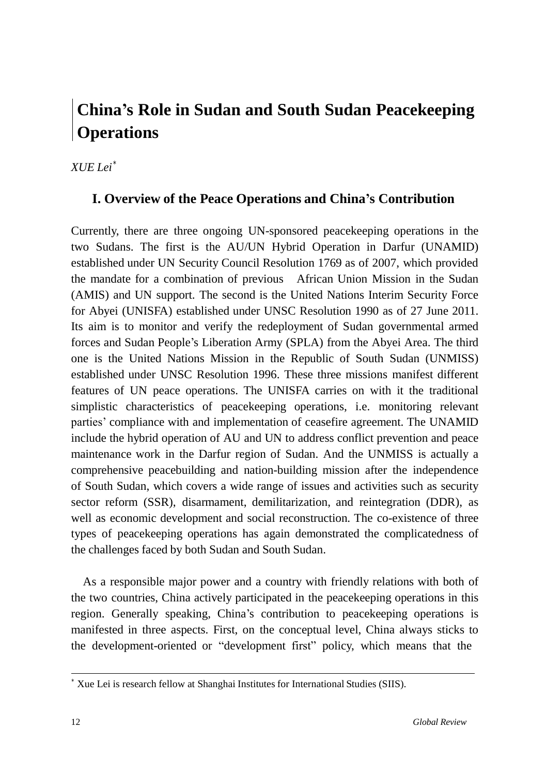# **China's Role in Sudan and South Sudan Peacekeeping Operations**

*XUE Lei* ∗

## **I. Overview of the Peace Operations and China's Contribution**

Currently, there are three ongoing UN-sponsored peacekeeping operations in the two Sudans. The first is the AU/UN Hybrid Operation in Darfur (UNAMID) established under UN Security Council Resolution 1769 as of 2007, which provided the mandate for a combination of previous African Union Mission in the Sudan (AMIS) and UN support. The second is the United Nations Interim Security Force for Abyei (UNISFA) established under UNSC Resolution 1990 as of 27 June 2011. Its aim is to monitor and verify the redeployment of Sudan governmental armed forces and Sudan People"s Liberation Army (SPLA) from the Abyei Area. The third one is the United Nations Mission in the Republic of South Sudan (UNMISS) established under UNSC Resolution 1996. These three missions manifest different features of UN peace operations. The UNISFA carries on with it the traditional simplistic characteristics of peacekeeping operations, i.e. monitoring relevant parties" compliance with and implementation of ceasefire agreement. The UNAMID include the hybrid operation of AU and UN to address conflict prevention and peace maintenance work in the Darfur region of Sudan. And the UNMISS is actually a comprehensive peacebuilding and nation-building mission after the independence of South Sudan, which covers a wide range of issues and activities such as security sector reform (SSR), disarmament, demilitarization, and reintegration (DDR), as well as economic development and social reconstruction. The co-existence of three types of peacekeeping operations has again demonstrated the complicatedness of the challenges faced by both Sudan and South Sudan.

As a responsible major power and a country with friendly relations with both of the two countries, China actively participated in the peacekeeping operations in this region. Generally speaking, China"s contribution to peacekeeping operations is manifested in three aspects. First, on the conceptual level, China always sticks to the development-oriented or "development first" policy, which means that the

<sup>∗</sup> Xue Lei is research fellow at Shanghai Institutes for International Studies (SIIS).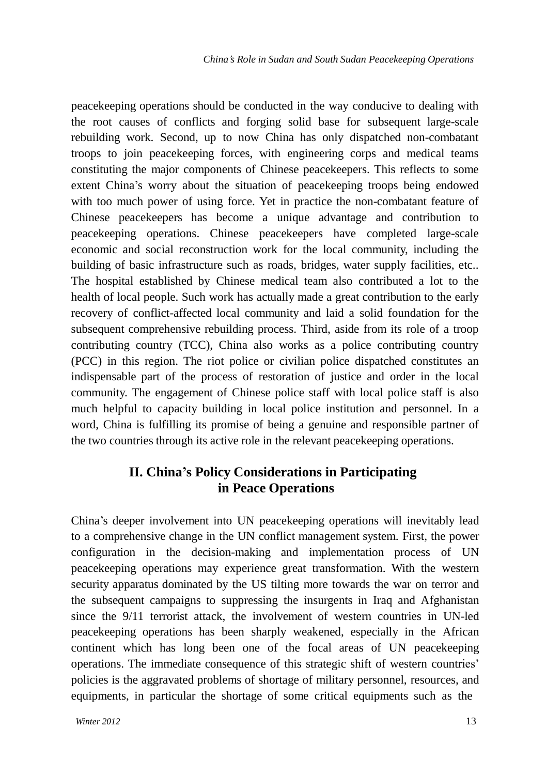peacekeeping operations should be conducted in the way conducive to dealing with the root causes of conflicts and forging solid base for subsequent large-scale rebuilding work. Second, up to now China has only dispatched non-combatant troops to join peacekeeping forces, with engineering corps and medical teams constituting the major components of Chinese peacekeepers. This reflects to some extent China"s worry about the situation of peacekeeping troops being endowed with too much power of using force. Yet in practice the non-combatant feature of Chinese peacekeepers has become a unique advantage and contribution to peacekeeping operations. Chinese peacekeepers have completed large-scale economic and social reconstruction work for the local community, including the building of basic infrastructure such as roads, bridges, water supply facilities, etc.. The hospital established by Chinese medical team also contributed a lot to the health of local people. Such work has actually made a great contribution to the early recovery of conflict-affected local community and laid a solid foundation for the subsequent comprehensive rebuilding process. Third, aside from its role of a troop contributing country (TCC), China also works as a police contributing country (PCC) in this region. The riot police or civilian police dispatched constitutes an indispensable part of the process of restoration of justice and order in the local community. The engagement of Chinese police staff with local police staff is also much helpful to capacity building in local police institution and personnel. In a word, China is fulfilling its promise of being a genuine and responsible partner of the two countries through its active role in the relevant peacekeeping operations.

## **II. China's Policy Considerations in Participating in Peace Operations**

China"s deeper involvement into UN peacekeeping operations will inevitably lead to a comprehensive change in the UN conflict management system. First, the power configuration in the decision-making and implementation process of UN peacekeeping operations may experience great transformation. With the western security apparatus dominated by the US tilting more towards the war on terror and the subsequent campaigns to suppressing the insurgents in Iraq and Afghanistan since the 9/11 terrorist attack, the involvement of western countries in UN-led peacekeeping operations has been sharply weakened, especially in the African continent which has long been one of the focal areas of UN peacekeeping operations. The immediate consequence of this strategic shift of western countries" policies is the aggravated problems of shortage of military personnel, resources, and equipments, in particular the shortage of some critical equipments such as the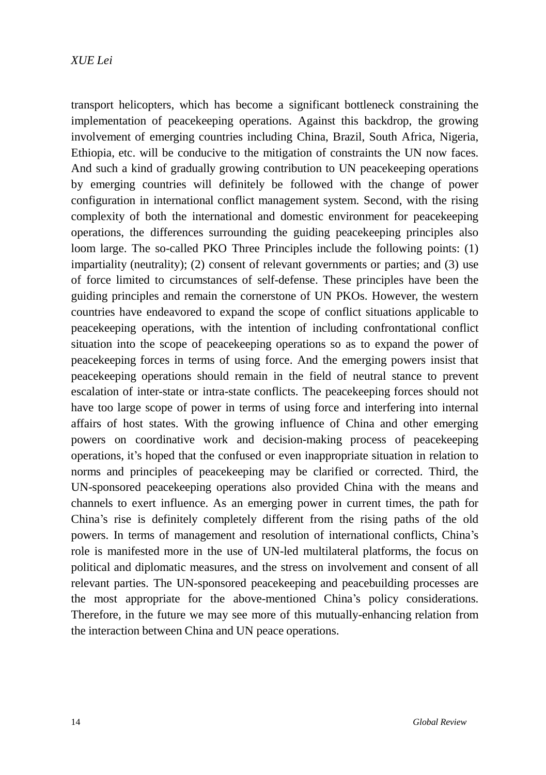#### *XUE Lei*

transport helicopters, which has become a significant bottleneck constraining the implementation of peacekeeping operations. Against this backdrop, the growing involvement of emerging countries including China, Brazil, South Africa, Nigeria, Ethiopia, etc. will be conducive to the mitigation of constraints the UN now faces. And such a kind of gradually growing contribution to UN peacekeeping operations by emerging countries will definitely be followed with the change of power configuration in international conflict management system. Second, with the rising complexity of both the international and domestic environment for peacekeeping operations, the differences surrounding the guiding peacekeeping principles also loom large. The so-called PKO Three Principles include the following points: (1) impartiality (neutrality); (2) consent of relevant governments or parties; and (3) use of force limited to circumstances of self-defense. These principles have been the guiding principles and remain the cornerstone of UN PKOs. However, the western countries have endeavored to expand the scope of conflict situations applicable to peacekeeping operations, with the intention of including confrontational conflict situation into the scope of peacekeeping operations so as to expand the power of peacekeeping forces in terms of using force. And the emerging powers insist that peacekeeping operations should remain in the field of neutral stance to prevent escalation of inter-state or intra-state conflicts. The peacekeeping forces should not have too large scope of power in terms of using force and interfering into internal affairs of host states. With the growing influence of China and other emerging powers on coordinative work and decision-making process of peacekeeping operations, it"s hoped that the confused or even inappropriate situation in relation to norms and principles of peacekeeping may be clarified or corrected. Third, the UN-sponsored peacekeeping operations also provided China with the means and channels to exert influence. As an emerging power in current times, the path for China"s rise is definitely completely different from the rising paths of the old powers. In terms of management and resolution of international conflicts, China"s role is manifested more in the use of UN-led multilateral platforms, the focus on political and diplomatic measures, and the stress on involvement and consent of all relevant parties. The UN-sponsored peacekeeping and peacebuilding processes are the most appropriate for the above-mentioned China"s policy considerations. Therefore, in the future we may see more of this mutually-enhancing relation from the interaction between China and UN peace operations.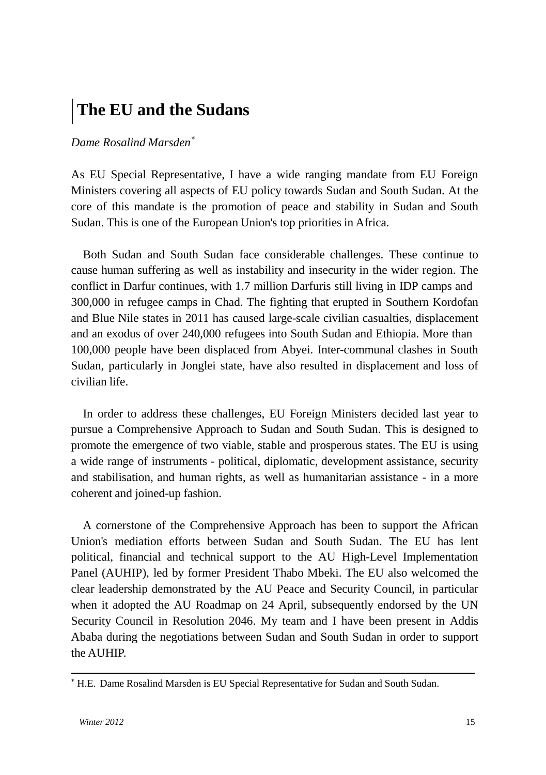# **The EU and the Sudans**

#### *Dame Rosalind Marsden* ∗

As EU Special Representative, I have a wide ranging mandate from EU Foreign Ministers covering all aspects of EU policy towards Sudan and South Sudan. At the core of this mandate is the promotion of peace and stability in Sudan and South Sudan. This is one of the European Union's top priorities in Africa.

Both Sudan and South Sudan face considerable challenges. These continue to cause human suffering as well as instability and insecurity in the wider region. The conflict in Darfur continues, with 1.7 million Darfuris still living in IDP camps and 300,000 in refugee camps in Chad. The fighting that erupted in Southern Kordofan and Blue Nile states in 2011 has caused large-scale civilian casualties, displacement and an exodus of over 240,000 refugees into South Sudan and Ethiopia. More than 100,000 people have been displaced from Abyei. Inter-communal clashes in South Sudan, particularly in Jonglei state, have also resulted in displacement and loss of civilian life.

In order to address these challenges, EU Foreign Ministers decided last year to pursue a Comprehensive Approach to Sudan and South Sudan. This is designed to promote the emergence of two viable, stable and prosperous states. The EU is using a wide range of instruments - political, diplomatic, development assistance, security and stabilisation, and human rights, as well as humanitarian assistance - in a more coherent and joined-up fashion.

A cornerstone of the Comprehensive Approach has been to support the African Union's mediation efforts between Sudan and South Sudan. The EU has lent political, financial and technical support to the AU High-Level Implementation Panel (AUHIP), led by former President Thabo Mbeki. The EU also welcomed the clear leadership demonstrated by the AU Peace and Security Council, in particular when it adopted the AU Roadmap on 24 April, subsequently endorsed by the UN Security Council in Resolution 2046. My team and I have been present in Addis Ababa during the negotiations between Sudan and South Sudan in order to support the AUHIP.

<sup>∗</sup> H.E. Dame Rosalind Marsden is EU Special Representative for Sudan and South Sudan.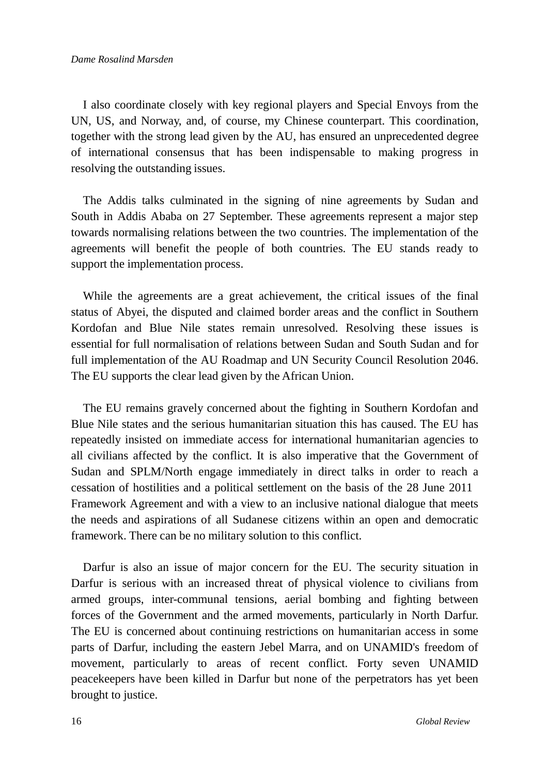I also coordinate closely with key regional players and Special Envoys from the UN, US, and Norway, and, of course, my Chinese counterpart. This coordination, together with the strong lead given by the AU, has ensured an unprecedented degree of international consensus that has been indispensable to making progress in resolving the outstanding issues.

The Addis talks culminated in the signing of nine agreements by Sudan and South in Addis Ababa on 27 September. These agreements represent a major step towards normalising relations between the two countries. The implementation of the agreements will benefit the people of both countries. The EU stands ready to support the implementation process.

While the agreements are a great achievement, the critical issues of the final status of Abyei, the disputed and claimed border areas and the conflict in Southern Kordofan and Blue Nile states remain unresolved. Resolving these issues is essential for full normalisation of relations between Sudan and South Sudan and for full implementation of the AU Roadmap and UN Security Council Resolution 2046. The EU supports the clear lead given by the African Union.

The EU remains gravely concerned about the fighting in Southern Kordofan and Blue Nile states and the serious humanitarian situation this has caused. The EU has repeatedly insisted on immediate access for international humanitarian agencies to all civilians affected by the conflict. It is also imperative that the Government of Sudan and SPLM/North engage immediately in direct talks in order to reach a cessation of hostilities and a political settlement on the basis of the 28 June 2011 Framework Agreement and with a view to an inclusive national dialogue that meets the needs and aspirations of all Sudanese citizens within an open and democratic framework. There can be no military solution to this conflict.

Darfur is also an issue of major concern for the EU. The security situation in Darfur is serious with an increased threat of physical violence to civilians from armed groups, inter-communal tensions, aerial bombing and fighting between forces of the Government and the armed movements, particularly in North Darfur. The EU is concerned about continuing restrictions on humanitarian access in some parts of Darfur, including the eastern Jebel Marra, and on UNAMID's freedom of movement, particularly to areas of recent conflict. Forty seven UNAMID peacekeepers have been killed in Darfur but none of the perpetrators has yet been brought to justice.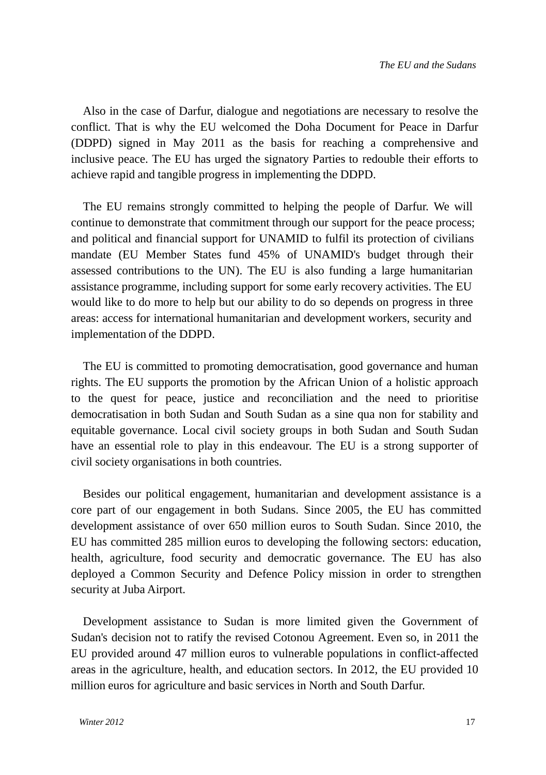Also in the case of Darfur, dialogue and negotiations are necessary to resolve the conflict. That is why the EU welcomed the Doha Document for Peace in Darfur (DDPD) signed in May 2011 as the basis for reaching a comprehensive and inclusive peace. The EU has urged the signatory Parties to redouble their efforts to achieve rapid and tangible progress in implementing the DDPD.

The EU remains strongly committed to helping the people of Darfur. We will continue to demonstrate that commitment through our support for the peace process; and political and financial support for UNAMID to fulfil its protection of civilians mandate (EU Member States fund 45% of UNAMID's budget through their assessed contributions to the UN). The EU is also funding a large humanitarian assistance programme, including support for some early recovery activities. The EU would like to do more to help but our ability to do so depends on progress in three areas: access for international humanitarian and development workers, security and implementation of the DDPD.

The EU is committed to promoting democratisation, good governance and human rights. The EU supports the promotion by the African Union of a holistic approach to the quest for peace, justice and reconciliation and the need to prioritise democratisation in both Sudan and South Sudan as a sine qua non for stability and equitable governance. Local civil society groups in both Sudan and South Sudan have an essential role to play in this endeavour. The EU is a strong supporter of civil society organisations in both countries.

Besides our political engagement, humanitarian and development assistance is a core part of our engagement in both Sudans. Since 2005, the EU has committed development assistance of over 650 million euros to South Sudan. Since 2010, the EU has committed 285 million euros to developing the following sectors: education, health, agriculture, food security and democratic governance. The EU has also deployed a Common Security and Defence Policy mission in order to strengthen security at Juba Airport.

Development assistance to Sudan is more limited given the Government of Sudan's decision not to ratify the revised Cotonou Agreement. Even so, in 2011 the EU provided around 47 million euros to vulnerable populations in conflict-affected areas in the agriculture, health, and education sectors. In 2012, the EU provided 10 million euros for agriculture and basic services in North and South Darfur.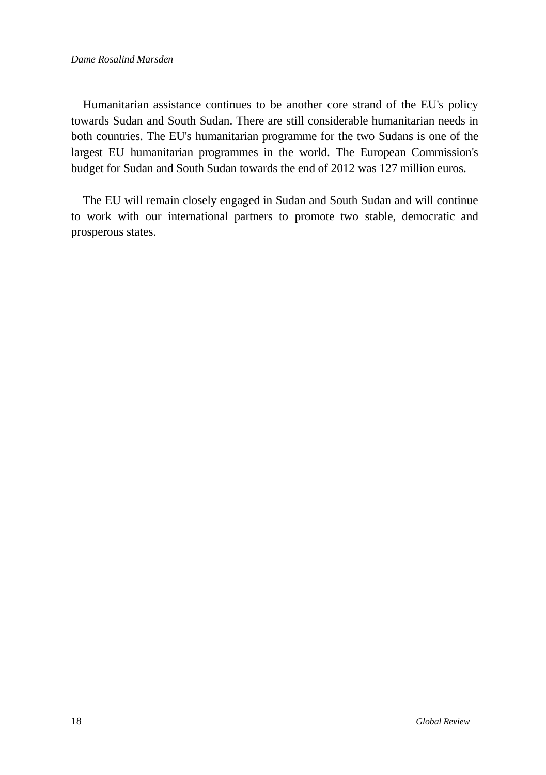#### *Dame Rosalind Marsden*

Humanitarian assistance continues to be another core strand of the EU's policy towards Sudan and South Sudan. There are still considerable humanitarian needs in both countries. The EU's humanitarian programme for the two Sudans is one of the largest EU humanitarian programmes in the world. The European Commission's budget for Sudan and South Sudan towards the end of 2012 was 127 million euros.

The EU will remain closely engaged in Sudan and South Sudan and will continue to work with our international partners to promote two stable, democratic and prosperous states.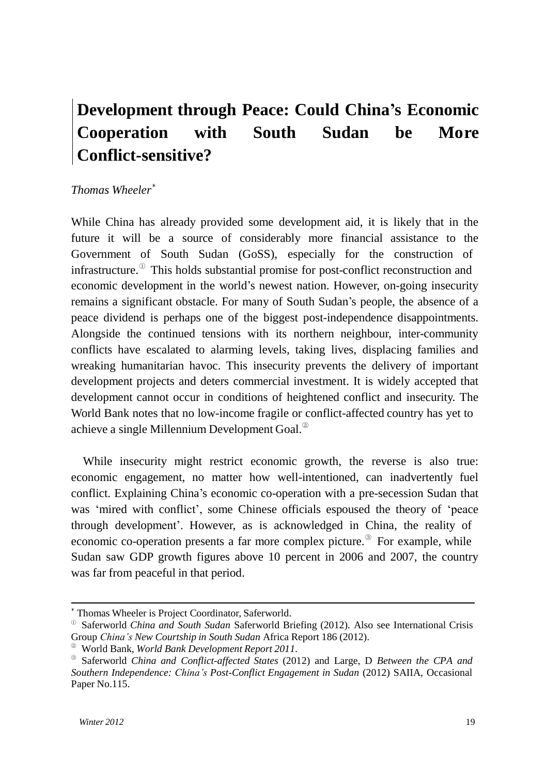# **Development through Peace: Could China's Economic Cooperation with South Sudan be More Conflict-sensitive?**

#### *Thomas Wheeler* ∗

While China has already provided some development aid, it is likely that in the future it will be a source of considerably more financial assistance to the Government of South Sudan (GoSS), especially for the construction of infrastructure. ① This holds substantial promise for post-conflict reconstruction and economic development in the world"s newest nation. However, on-going insecurity remains a significant obstacle. For many of South Sudan"s people, the absence of a peace dividend is perhaps one of the biggest post-independence disappointments. Alongside the continued tensions with its northern neighbour, inter-community conflicts have escalated to alarming levels, taking lives, displacing families and wreaking humanitarian havoc. This insecurity prevents the delivery of important development projects and deters commercial investment. It is widely accepted that development cannot occur in conditions of heightened conflict and insecurity. The World Bank notes that no low-income fragile or conflict-affected country has yet to achieve a single Millennium Development Goal. $^{\circ}$ 

While insecurity might restrict economic growth, the reverse is also true: economic engagement, no matter how well-intentioned, can inadvertently fuel conflict. Explaining China"s economic co-operation with a pre-secession Sudan that was "mired with conflict", some Chinese officials espoused the theory of "peace through development". However, as is acknowledged in China, the reality of economic co-operation presents a far more complex picture.<sup>3</sup> For example, while Sudan saw GDP growth figures above 10 percent in 2006 and 2007, the country was far from peaceful in that period.

Thomas Wheeler is Project Coordinator, Saferworld.

<sup>①</sup>Saferworld *China and South Sudan* Saferworld Briefing (2012). Also see International Crisis Group *China's New Courtship in South Sudan* Africa Report 186 (2012).

<sup>②</sup>World Bank, *World Bank Development Report 2011*.

<sup>③</sup>Saferworld *China and Conflict-affected States* (2012) and Large, D *Between the CPA and Southern Independence: China's Post-Conflict Engagement in Sudan* (2012) SAIIA, Occasional Paper No.115.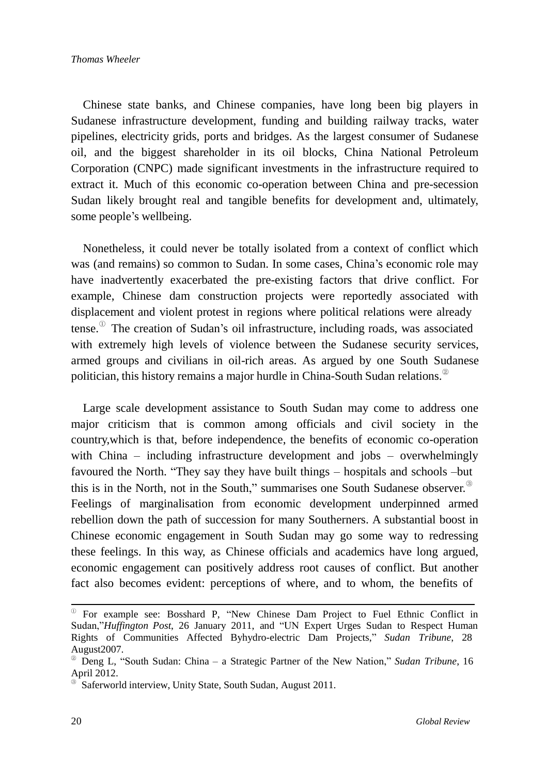Chinese state banks, and Chinese companies, have long been big players in Sudanese infrastructure development, funding and building railway tracks, water pipelines, electricity grids, ports and bridges. As the largest consumer of Sudanese oil, and the biggest shareholder in its oil blocks, China National Petroleum Corporation (CNPC) made significant investments in the infrastructure required to extract it. Much of this economic co-operation between China and pre-secession Sudan likely brought real and tangible benefits for development and, ultimately, some people's wellbeing.

Nonetheless, it could never be totally isolated from a context of conflict which was (and remains) so common to Sudan. In some cases, China's economic role may have inadvertently exacerbated the pre-existing factors that drive conflict. For example, Chinese dam construction projects were reportedly associated with displacement and violent protest in regions where political relations were already tense.<sup>1</sup> The creation of Sudan's oil infrastructure, including roads, was associated with extremely high levels of violence between the Sudanese security services, armed groups and civilians in oil-rich areas. As argued by one South Sudanese politician, this history remains a major hurdle in China-South Sudan relations.<sup>2</sup>

Large scale development assistance to South Sudan may come to address one major criticism that is common among officials and civil society in the country,which is that, before independence, the benefits of economic co-operation with China – including infrastructure development and jobs – overwhelmingly favoured the North. "They say they have built things – hospitals and schools –but this is in the North, not in the South," summarises one South Sudanese observer. Feelings of marginalisation from economic development underpinned armed rebellion down the path of succession for many Southerners. A substantial boost in Chinese economic engagement in South Sudan may go some way to redressing these feelings. In this way, as Chinese officials and academics have long argued, economic engagement can positively address root causes of conflict. But another fact also becomes evident: perceptions of where, and to whom, the benefits of

① For example see: Bosshard P, "New Chinese Dam Project to Fuel Ethnic Conflict in Sudan,"*Huffington Post*, 26 January 2011, and "UN Expert Urges Sudan to Respect Human Rights of Communities Affected Byhydro-electric Dam Projects," *Sudan Tribune*, 28 August2007.

<sup>②</sup>Deng L, "South Sudan: China – a Strategic Partner of the New Nation," *Sudan Tribune*, 16 April 2012.

Saferworld interview, Unity State, South Sudan, August 2011.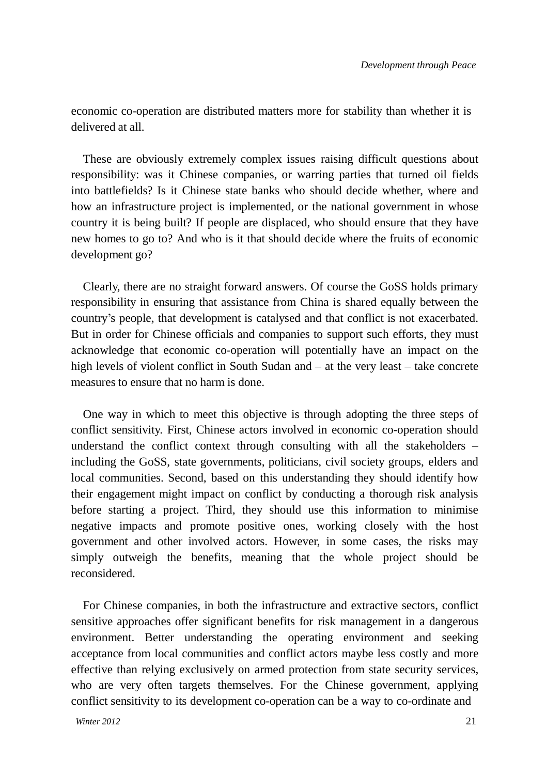economic co-operation are distributed matters more for stability than whether it is delivered at all.

These are obviously extremely complex issues raising difficult questions about responsibility: was it Chinese companies, or warring parties that turned oil fields into battlefields? Is it Chinese state banks who should decide whether, where and how an infrastructure project is implemented, or the national government in whose country it is being built? If people are displaced, who should ensure that they have new homes to go to? And who is it that should decide where the fruits of economic development go?

Clearly, there are no straight forward answers. Of course the GoSS holds primary responsibility in ensuring that assistance from China is shared equally between the country"s people, that development is catalysed and that conflict is not exacerbated. But in order for Chinese officials and companies to support such efforts, they must acknowledge that economic co-operation will potentially have an impact on the high levels of violent conflict in South Sudan and – at the very least – take concrete measures to ensure that no harm is done.

One way in which to meet this objective is through adopting the three steps of conflict sensitivity. First, Chinese actors involved in economic co-operation should understand the conflict context through consulting with all the stakeholders – including the GoSS, state governments, politicians, civil society groups, elders and local communities. Second, based on this understanding they should identify how their engagement might impact on conflict by conducting a thorough risk analysis before starting a project. Third, they should use this information to minimise negative impacts and promote positive ones, working closely with the host government and other involved actors. However, in some cases, the risks may simply outweigh the benefits, meaning that the whole project should be reconsidered.

For Chinese companies, in both the infrastructure and extractive sectors, conflict sensitive approaches offer significant benefits for risk management in a dangerous environment. Better understanding the operating environment and seeking acceptance from local communities and conflict actors maybe less costly and more effective than relying exclusively on armed protection from state security services, who are very often targets themselves. For the Chinese government, applying conflict sensitivity to its development co-operation can be a way to co-ordinate and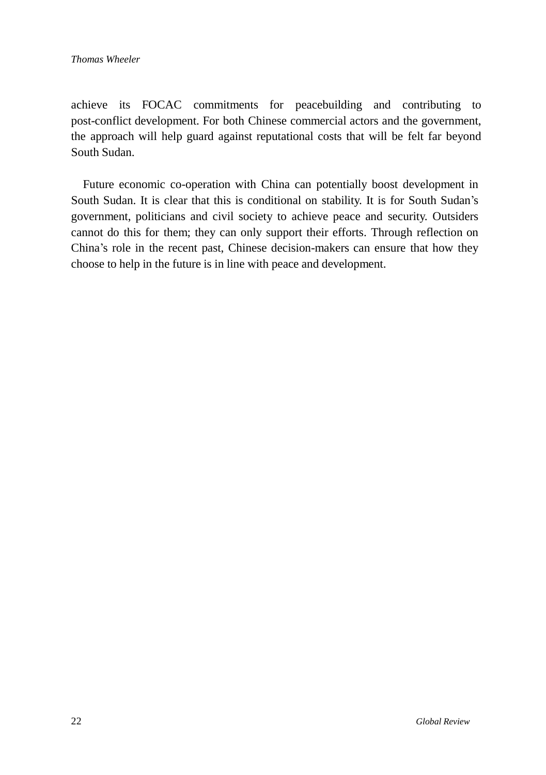achieve its FOCAC commitments for peacebuilding and contributing to post-conflict development. For both Chinese commercial actors and the government, the approach will help guard against reputational costs that will be felt far beyond South Sudan.

Future economic co-operation with China can potentially boost development in South Sudan. It is clear that this is conditional on stability. It is for South Sudan"s government, politicians and civil society to achieve peace and security. Outsiders cannot do this for them; they can only support their efforts. Through reflection on China"s role in the recent past, Chinese decision-makers can ensure that how they choose to help in the future is in line with peace and development.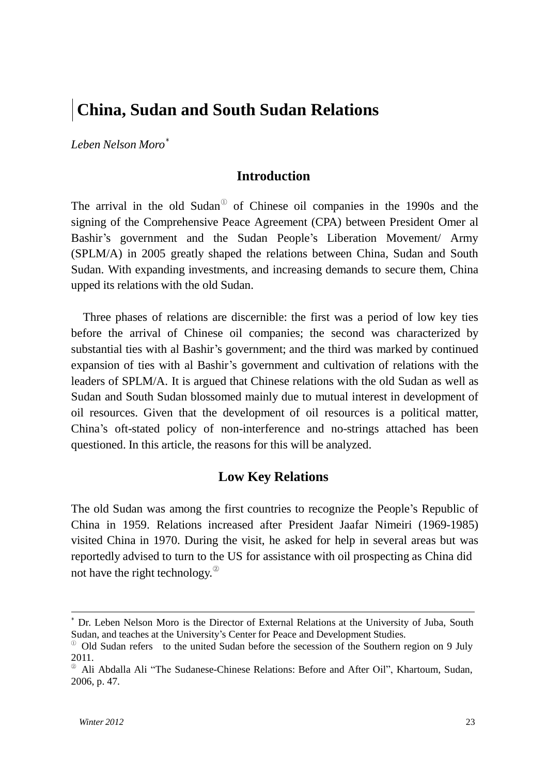# **China, Sudan and South Sudan Relations**

*Leben Nelson Moro* ∗

#### **Introduction**

The arrival in the old Sudan $\degree$  of Chinese oil companies in the 1990s and the signing of the Comprehensive Peace Agreement (CPA) between President Omer al Bashir"s government and the Sudan People"s Liberation Movement/ Army (SPLM/A) in 2005 greatly shaped the relations between China, Sudan and South Sudan. With expanding investments, and increasing demands to secure them, China upped its relations with the old Sudan.

Three phases of relations are discernible: the first was a period of low key ties before the arrival of Chinese oil companies; the second was characterized by substantial ties with al Bashir"s government; and the third was marked by continued expansion of ties with al Bashir"s government and cultivation of relations with the leaders of SPLM/A. It is argued that Chinese relations with the old Sudan as well as Sudan and South Sudan blossomed mainly due to mutual interest in development of oil resources. Given that the development of oil resources is a political matter, China"s oft-stated policy of non-interference and no-strings attached has been questioned. In this article, the reasons for this will be analyzed.

#### **Low Key Relations**

The old Sudan was among the first countries to recognize the People"s Republic of China in 1959. Relations increased after President Jaafar Nimeiri (1969-1985) visited China in 1970. During the visit, he asked for help in several areas but was reportedly advised to turn to the US for assistance with oil prospecting as China did not have the right technology. $^{\circledR}$ 

<sup>∗</sup> Dr. Leben Nelson Moro is the Director of External Relations at the University of Juba, South Sudan, and teaches at the University's Center for Peace and Development Studies.

<sup>&</sup>lt;sup>0</sup> Old Sudan refers to the united Sudan before the secession of the Southern region on 9 July 2011.

<sup>②</sup>Ali Abdalla Ali "The Sudanese-Chinese Relations: Before and After Oil", Khartoum, Sudan, 2006, p. 47.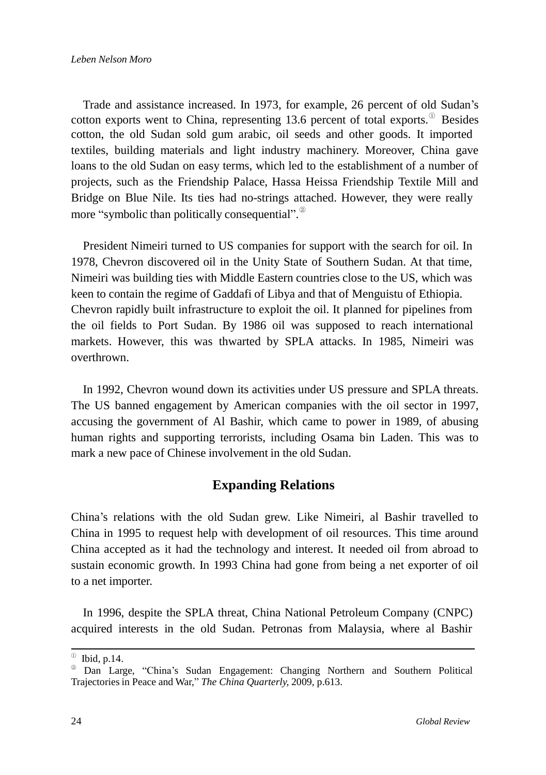Trade and assistance increased. In 1973, for example, 26 percent of old Sudan"s cotton exports went to China, representing 13.6 percent of total exports. $^{\circ}$  Besides cotton, the old Sudan sold gum arabic, oil seeds and other goods. It imported textiles, building materials and light industry machinery. Moreover, China gave loans to the old Sudan on easy terms, which led to the establishment of a number of projects, such as the Friendship Palace, Hassa Heissa Friendship Textile Mill and Bridge on Blue Nile. Its ties had no-strings attached. However, they were really more "symbolic than politically consequential".

President Nimeiri turned to US companies for support with the search for oil. In 1978, Chevron discovered oil in the Unity State of Southern Sudan. At that time, Nimeiri was building ties with Middle Eastern countries close to the US, which was keen to contain the regime of Gaddafi of Libya and that of Menguistu of Ethiopia. Chevron rapidly built infrastructure to exploit the oil. It planned for pipelines from the oil fields to Port Sudan. By 1986 oil was supposed to reach international markets. However, this was thwarted by SPLA attacks. In 1985, Nimeiri was overthrown.

In 1992, Chevron wound down its activities under US pressure and SPLA threats. The US banned engagement by American companies with the oil sector in 1997, accusing the government of Al Bashir, which came to power in 1989, of abusing human rights and supporting terrorists, including Osama bin Laden. This was to mark a new pace of Chinese involvement in the old Sudan.

# **Expanding Relations**

China"s relations with the old Sudan grew. Like Nimeiri, al Bashir travelled to China in 1995 to request help with development of oil resources. This time around China accepted as it had the technology and interest. It needed oil from abroad to sustain economic growth. In 1993 China had gone from being a net exporter of oil to a net importer.

In 1996, despite the SPLA threat, China National Petroleum Company (CNPC) acquired interests in the old Sudan. Petronas from Malaysia, where al Bashir

 $\textcircled{ }$  Ibid, p.14.

<sup>&</sup>lt;sup>®</sup> Dan Large, "China's Sudan Engagement: Changing Northern and Southern Political Trajectories in Peace and War," *The China Quarterly,* 2009, p.613.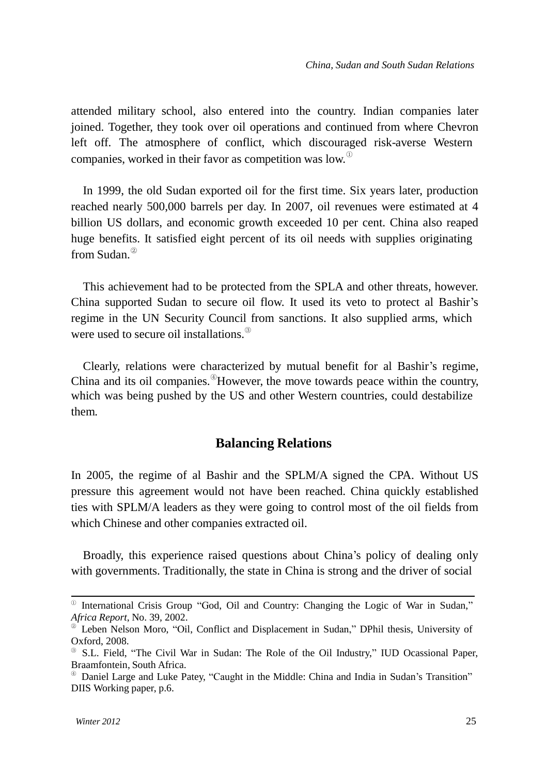attended military school, also entered into the country. Indian companies later joined. Together, they took over oil operations and continued from where Chevron left off. The atmosphere of conflict, which discouraged risk-averse Western companies, worked in their favor as competition was low. $^{\circ}$ 

In 1999, the old Sudan exported oil for the first time. Six years later, production reached nearly 500,000 barrels per day. In 2007, oil revenues were estimated at 4 billion US dollars, and economic growth exceeded 10 per cent. China also reaped huge benefits. It satisfied eight percent of its oil needs with supplies originating from Sudan. ②

This achievement had to be protected from the SPLA and other threats, however. China supported Sudan to secure oil flow. It used its veto to protect al Bashir"s regime in the UN Security Council from sanctions. It also supplied arms, which were used to secure oil installations. ③

Clearly, relations were characterized by mutual benefit for al Bashir"s regime, China and its oil companies. <sup>4</sup>However, the move towards peace within the country, which was being pushed by the US and other Western countries, could destabilize them.

#### **Balancing Relations**

In 2005, the regime of al Bashir and the SPLM/A signed the CPA. Without US pressure this agreement would not have been reached. China quickly established ties with SPLM/A leaders as they were going to control most of the oil fields from which Chinese and other companies extracted oil.

Broadly, this experience raised questions about China"s policy of dealing only with governments. Traditionally, the state in China is strong and the driver of social

<sup>①</sup>International Crisis Group "God, Oil and Country: Changing the Logic of War in Sudan," *Africa Report*, No. 39*,* 2002.

Leben Nelson Moro, "Oil, Conflict and Displacement in Sudan," DPhil thesis, University of Oxford, 2008.

<sup>③</sup>S.L. Field, "The Civil War in Sudan: The Role of the Oil Industry," IUD Ocassional Paper, Braamfontein, South Africa.

<sup>④</sup>Daniel Large and Luke Patey, "Caught in the Middle: China and India in Sudan"s Transition" DIIS Working paper, p.6.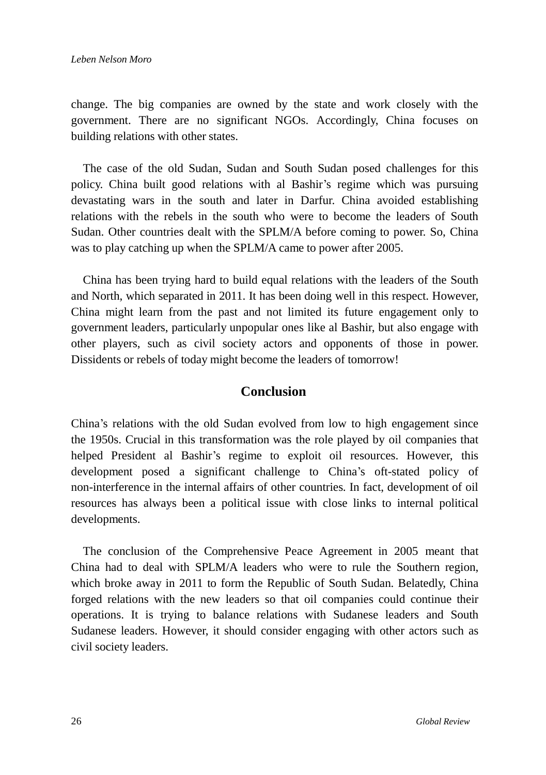change. The big companies are owned by the state and work closely with the government. There are no significant NGOs. Accordingly, China focuses on building relations with other states.

The case of the old Sudan, Sudan and South Sudan posed challenges for this policy. China built good relations with al Bashir"s regime which was pursuing devastating wars in the south and later in Darfur. China avoided establishing relations with the rebels in the south who were to become the leaders of South Sudan. Other countries dealt with the SPLM/A before coming to power. So, China was to play catching up when the SPLM/A came to power after 2005.

China has been trying hard to build equal relations with the leaders of the South and North, which separated in 2011. It has been doing well in this respect. However, China might learn from the past and not limited its future engagement only to government leaders, particularly unpopular ones like al Bashir, but also engage with other players, such as civil society actors and opponents of those in power. Dissidents or rebels of today might become the leaders of tomorrow!

### **Conclusion**

China"s relations with the old Sudan evolved from low to high engagement since the 1950s. Crucial in this transformation was the role played by oil companies that helped President al Bashir"s regime to exploit oil resources. However, this development posed a significant challenge to China"s oft-stated policy of non-interference in the internal affairs of other countries. In fact, development of oil resources has always been a political issue with close links to internal political developments.

The conclusion of the Comprehensive Peace Agreement in 2005 meant that China had to deal with SPLM/A leaders who were to rule the Southern region, which broke away in 2011 to form the Republic of South Sudan. Belatedly, China forged relations with the new leaders so that oil companies could continue their operations. It is trying to balance relations with Sudanese leaders and South Sudanese leaders. However, it should consider engaging with other actors such as civil society leaders.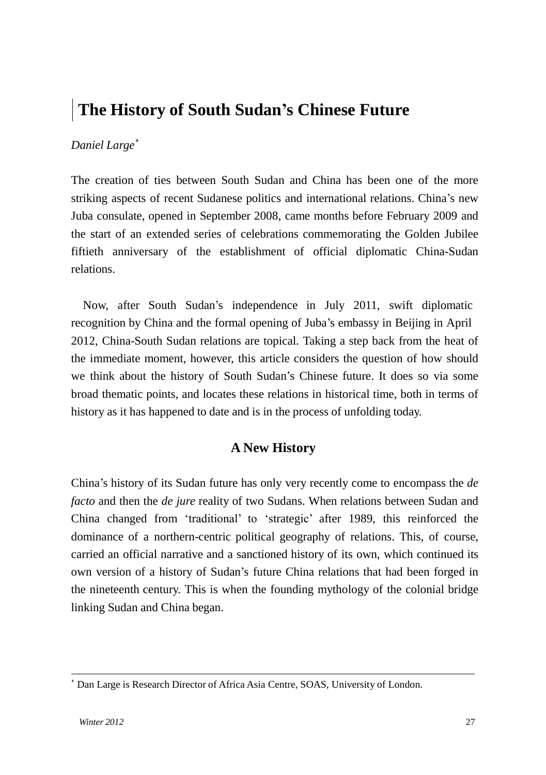# **The History of South Sudan's Chinese Future**

#### *Daniel Large* ∗

The creation of ties between South Sudan and China has been one of the more striking aspects of recent Sudanese politics and international relations. China"s new Juba consulate, opened in September 2008, came months before February 2009 and the start of an extended series of celebrations commemorating the Golden Jubilee fiftieth anniversary of the establishment of official diplomatic China-Sudan relations.

Now, after South Sudan"s independence in July 2011, swift diplomatic recognition by China and the formal opening of Juba"s embassy in Beijing in April 2012, China-South Sudan relations are topical. Taking a step back from the heat of the immediate moment, however, this article considers the question of how should we think about the history of South Sudan"s Chinese future. It does so via some broad thematic points, and locates these relations in historical time, both in terms of history as it has happened to date and is in the process of unfolding today.

### **A New History**

China"s history of its Sudan future has only very recently come to encompass the *de facto* and then the *de jure* reality of two Sudans. When relations between Sudan and China changed from "traditional" to "strategic" after 1989, this reinforced the dominance of a northern-centric political geography of relations. This, of course, carried an official narrative and a sanctioned history of its own, which continued its own version of a history of Sudan"s future China relations that had been forged in the nineteenth century. This is when the founding mythology of the colonial bridge linking Sudan and China began.

<sup>∗</sup> Dan Large is Research Director of Africa Asia Centre, SOAS, University of London.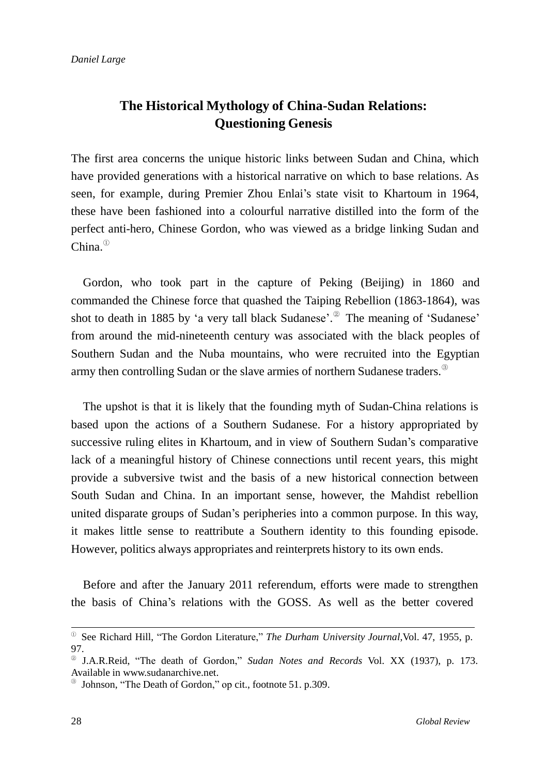# **The Historical Mythology of China-Sudan Relations: Questioning Genesis**

The first area concerns the unique historic links between Sudan and China, which have provided generations with a historical narrative on which to base relations. As seen, for example, during Premier Zhou Enlai"s state visit to Khartoum in 1964, these have been fashioned into a colourful narrative distilled into the form of the perfect anti-hero, Chinese Gordon, who was viewed as a bridge linking Sudan and China. $^{\circ}$ 

Gordon, who took part in the capture of Peking (Beijing) in 1860 and commanded the Chinese force that quashed the Taiping Rebellion (1863-1864), was shot to death in 1885 by 'a very tall black Sudanese'.<sup>2</sup> The meaning of 'Sudanese' from around the mid-nineteenth century was associated with the black peoples of Southern Sudan and the Nuba mountains, who were recruited into the Egyptian army then controlling Sudan or the slave armies of northern Sudanese traders.<sup>8</sup>

The upshot is that it is likely that the founding myth of Sudan-China relations is based upon the actions of a Southern Sudanese. For a history appropriated by successive ruling elites in Khartoum, and in view of Southern Sudan"s comparative lack of a meaningful history of Chinese connections until recent years, this might provide a subversive twist and the basis of a new historical connection between South Sudan and China. In an important sense, however, the Mahdist rebellion united disparate groups of Sudan"s peripheries into a common purpose. In this way, it makes little sense to reattribute a Southern identity to this founding episode. However, politics always appropriates and reinterprets history to its own ends.

Before and after the January 2011 referendum, efforts were made to strengthen the basis of China"s relations with the GOSS. As well as the better covered

<sup>①</sup>See Richard Hill, "The Gordon Literature," *The Durham University Journal,*Vol. 47, 1955, p. 97.

<sup>②</sup>J.A.R.Reid, "The death of Gordon," *Sudan Notes and Records* Vol. XX (1937), p. 173. Available in [www.sudanarchive.net.](http://www.sudanarchive.net/)

<sup>③</sup>Johnson, "The Death of Gordon," op cit., footnote 51. p.309.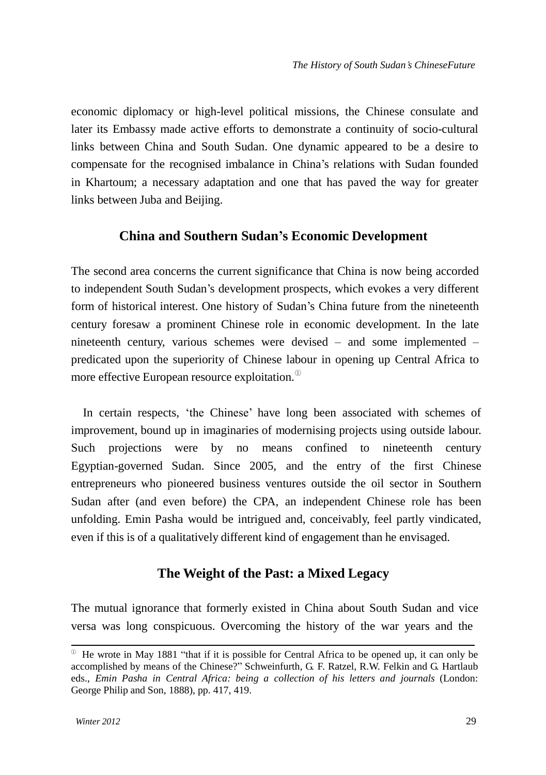economic diplomacy or high-level political missions, the Chinese consulate and later its Embassy made active efforts to demonstrate a continuity of socio-cultural links between China and South Sudan. One dynamic appeared to be a desire to compensate for the recognised imbalance in China"s relations with Sudan founded in Khartoum; a necessary adaptation and one that has paved the way for greater links between Juba and Beijing.

#### **China and Southern Sudan's Economic Development**

The second area concerns the current significance that China is now being accorded to independent South Sudan"s development prospects, which evokes a very different form of historical interest. One history of Sudan's China future from the nineteenth century foresaw a prominent Chinese role in economic development. In the late nineteenth century, various schemes were devised – and some implemented – predicated upon the superiority of Chinese labour in opening up Central Africa to more effective European resource exploitation. $^{\circ}$ 

In certain respects, "the Chinese" have long been associated with schemes of improvement, bound up in imaginaries of modernising projects using outside labour. Such projections were by no means confined to nineteenth century Egyptian-governed Sudan. Since 2005, and the entry of the first Chinese entrepreneurs who pioneered business ventures outside the oil sector in Southern Sudan after (and even before) the CPA, an independent Chinese role has been unfolding. Emin Pasha would be intrigued and, conceivably, feel partly vindicated, even if this is of a qualitatively different kind of engagement than he envisaged.

## **The Weight of the Past: a Mixed Legacy**

The mutual ignorance that formerly existed in China about South Sudan and vice versa was long conspicuous. Overcoming the history of the war years and the

 $\degree$  He wrote in May 1881 "that if it is possible for Central Africa to be opened up, it can only be accomplished by means of the Chinese?" Schweinfurth, G. F. Ratzel, R.W. Felkin and G. Hartlaub eds., *Emin Pasha in Central Africa: being a collection of his letters and journals* (London: George Philip and Son, 1888), pp. 417, 419.